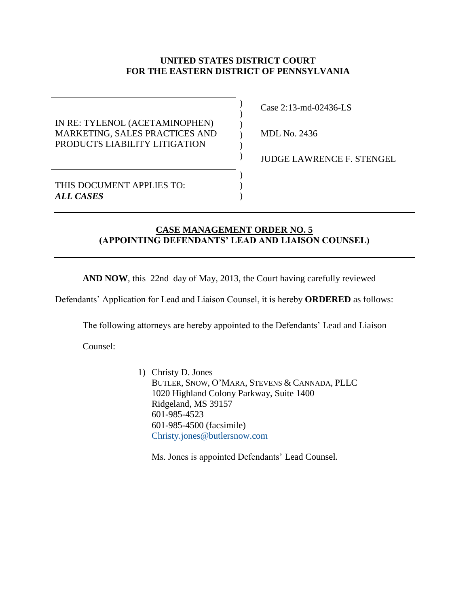## **UNITED STATES DISTRICT COURT FOR THE EASTERN DISTRICT OF PENNSYLVANIA**

 $\mathcal{L}$ ) ) )  $\lambda$  $\mathcal{L}$ 

 $\lambda$  $\mathcal{L}$  $\lambda$ 

IN RE: TYLENOL (ACETAMINOPHEN) MARKETING, SALES PRACTICES AND PRODUCTS LIABILITY LITIGATION

Case 2:13-md-02436-LS

MDL No. 2436

JUDGE LAWRENCE F. STENGEL

THIS DOCUMENT APPLIES TO: *ALL CASES*

## **CASE MANAGEMENT ORDER NO. 5 (APPOINTING DEFENDANTS' LEAD AND LIAISON COUNSEL)**

**AND NOW**, this 22nd day of May, 2013, the Court having carefully reviewed

Defendants' Application for Lead and Liaison Counsel, it is hereby **ORDERED** as follows:

The following attorneys are hereby appointed to the Defendants' Lead and Liaison

Counsel:

1) Christy D. Jones BUTLER, SNOW, O'MARA, STEVENS & CANNADA, PLLC 1020 Highland Colony Parkway, Suite 1400 Ridgeland, MS 39157 601-985-4523 601-985-4500 (facsimile) [Christy.jones@butlersnow.com](mailto:Christy.jones@butlersnow.com)

Ms. Jones is appointed Defendants' Lead Counsel.